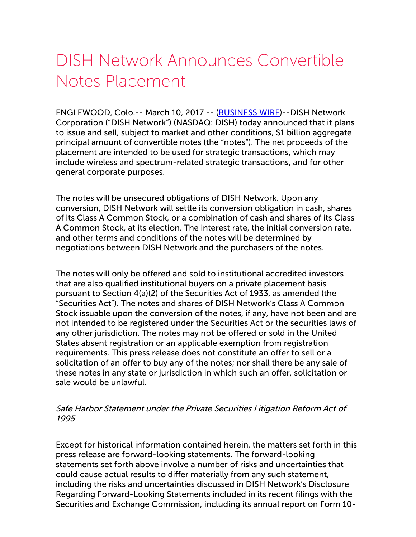## DISH Network Announces Convertible Notes Placement

ENGLEWOOD, Colo.-- March 10, 2017 -- [\(BUSINESS](http://www.businesswire.com/) WIRE)--DISH Network Corporation ("DISH Network") (NASDAQ: DISH) today announced that it plans to issue and sell, subject to market and other conditions, \$1 billion aggregate principal amount of convertible notes (the "notes"). The net proceeds of the placement are intended to be used for strategic transactions, which may include wireless and spectrum-related strategic transactions, and for other general corporate purposes.

The notes will be unsecured obligations of DISH Network. Upon any conversion, DISH Network will settle its conversion obligation in cash, shares of its Class A Common Stock, or a combination of cash and shares of its Class A Common Stock, at its election. The interest rate, the initial conversion rate, and other terms and conditions of the notes will be determined by negotiations between DISH Network and the purchasers of the notes.

The notes will only be offered and sold to institutional accredited investors that are also qualified institutional buyers on a private placement basis pursuant to Section 4(a)(2) of the Securities Act of 1933, as amended (the "Securities Act"). The notes and shares of DISH Network's Class A Common Stock issuable upon the conversion of the notes, if any, have not been and are not intended to be registered under the Securities Act or the securities laws of any other jurisdiction. The notes may not be offered or sold in the United States absent registration or an applicable exemption from registration requirements. This press release does not constitute an offer to sell or a solicitation of an offer to buy any of the notes; nor shall there be any sale of these notes in any state or jurisdiction in which such an offer, solicitation or sale would be unlawful.

## Safe Harbor Statement under the Private Securities Litigation Reform Act of 1995

Except for historical information contained herein, the matters set forth in this press release are forward-looking statements. The forward-looking statements set forth above involve a number of risks and uncertainties that could cause actual results to differ materially from any such statement, including the risks and uncertainties discussed in DISH Network's Disclosure Regarding Forward-Looking Statements included in its recent filings with the Securities and Exchange Commission, including its annual report on Form 10